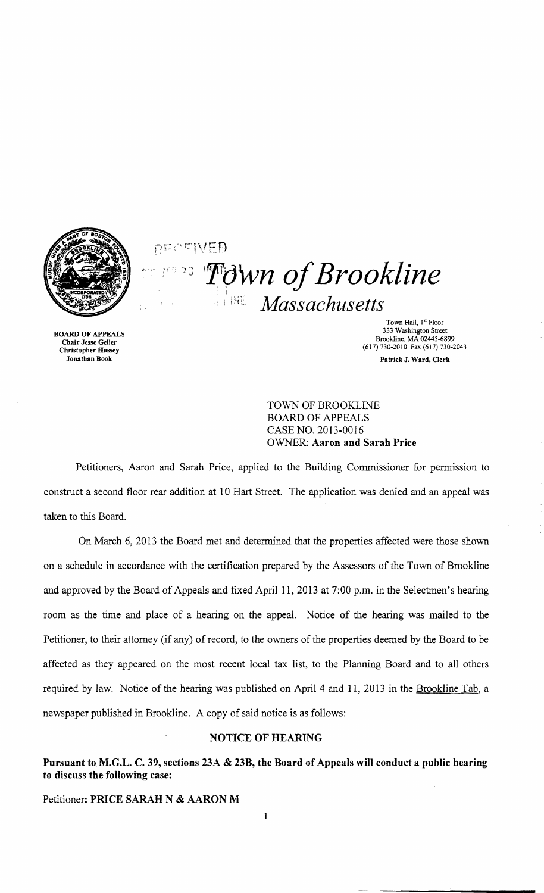

 $\mathop{\mathrm{pr}}\nolimits\cap\mathop{\mathrm{cr}}\nolimits(V\mathop{\mathrm{op}}\nolimits\mathop{\mathrm{P}}\nolimits)$ '**T**own of Brookline ··i.lh[: *Massachusetts* 

BOARD OF APPEALS Chair Jesse Geller Christopher Hussey Jonathan Book

Town Hall, 1st Floor 333 Washington Street Brookline, MA 02445-6899 (617) 730-2010 Fax (617) 730-2043 Patrick J. Ward, Clerk

TOWN OF BROOKLINE BOARD OF APPEALS CASE NO. 2013-0016 OWNER: Aaron and Sarah Price

Petitioners, Aaron and Sarah Price, applied to the Building Commissioner for permission to construct a second floor rear addition at 10 Hart Street. The application was denied and an appeal was taken to this Board.

On March 6, 2013 the Board met and determined that the properties affected were those shown on a schedule in accordance with the certification prepared by the Assessors of the Town of Brookline and approved by the Board of Appeals and fixed April 11, 2013 at 7:00 p.m. in the Selectmen's hearing room as the time and place of a hearing on the appeal. Notice of the hearing was mailed to the Petitioner, to their attorney (if any) of record, to the owners of the properties deemed by the Board to be affected as they appeared on the most recent local tax list, to the Planning Board and to all others required by law. Notice of the hearing was published on April 4 and 11, 2013 in the Brookline Tab, a newspaper published in Brookline. A copy of said notice is as follows:

## NOTICE OF HEARING

Pursuant to M.G.L. C. 39, sections 23A & 23B, the Board of Appeals will conduct a public hearing to discuss the following case:

 $\mathbf{1}$ 

Petitioner: PRICE SARAH N & AARON M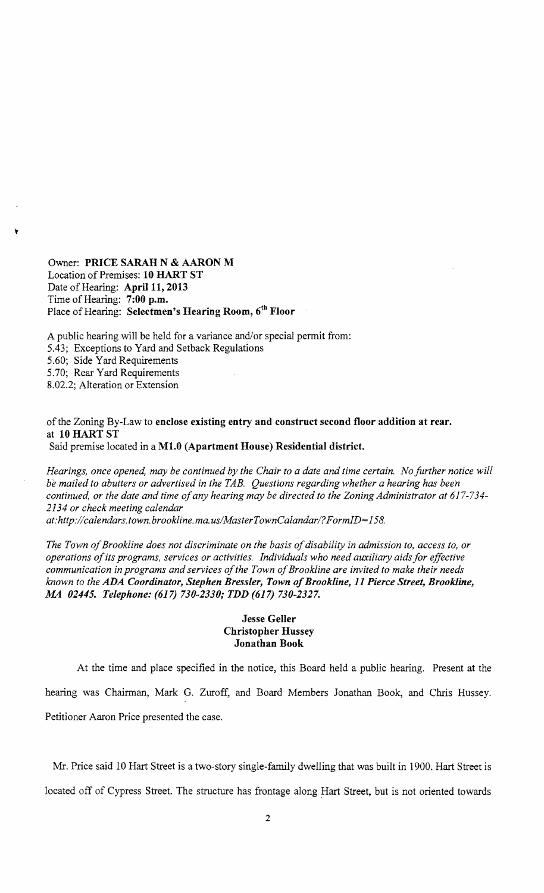Owner: PRICE SARAH N & AARON M Location of Premises: 10 HART ST Date of Hearing: April 11, 2013 Time of Hearing: 7:00 p.m. Place of Hearing: Selectmen's Hearing Room, 6<sup>th</sup> Floor

~

A public hearing will be held for a variance and/or special permit from: 5.43; Exceptions to Yard and Setback Regulations 5.60; Side Yard Requirements 5.70; Rear Yard Requirements 8.02.2; Alteration or Extension

## of the Zoning By-Law to enclose existing entry and construct second floor addition at rear. at 10 HART ST

Said premise located in a Ml.O (Apartment House) Residential district.

*Hearings, once opened, may be continued by the Chair to a date and time certain. No fitrther notice will be mailed to abutters or advertised in the TAB. Questions regarding whether a hearing has been continued, or the date and time ofany hearing may be directed to the Zoning Administrator at 617-734 2134 or check meeting calendar at: http://calendars.town.brookline.ma.usIMasterTownCalandarl? FormID= 158.* 

The Town of Brookline does not discriminate on the basis of disability in admission to, access to, or *operations ofits programs, services or activities. Individuals who need auxiliary aids for effective* 

communication in programs and services of the Town of Brookline are invited to make their needs *known to the ADA Coordinator, Stephen Bressler, Town ofBrookline,* 11 *Pierce Street, Brookline,*  M4 *02445. Telephone:* (617) *730-2330; TDD* (617) *730-2327.* 

## Jesse Geller Christopher Hussey Jonathan Book

At the time and place specified in the notice, this Board held a public hearing. Present at the hearing was Chairman, Mark O. Zuroff, and Board Members Jonathan Book, and Chris Hussey. Petitioner Aaron Price presented the case.

Mr. Price said 10 Hart Street is a two-story single-family dwelling that was built in 1900. Hart Street is located off of Cypress Street. The structure has frontage along Hart Street, but is not oriented towards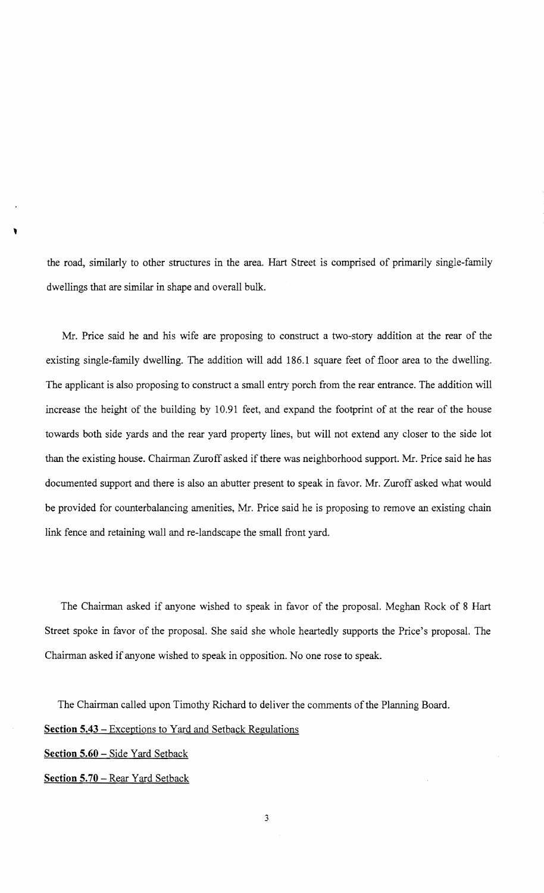the road, similarly to other structures in the area. Hart Street is comprised of primarily single-family dwellings that are similar in shape and overall bulk.

Mr. Price said he and his wife are proposing to construct a two-story addition at the rear of the existing single-family dwelling. The addition will add 186.1 square feet of floor area to the dwelling. The applicant is also proposing to construct a small entry porch from the rear entrance. The addition will increase the height of the building by 10.91 feet, and expand the footprint of at the rear of the house towards both side yards and the rear yard property lines, but will not extend any closer to the side lot than the existing house. Chairman Zuroff asked if there was neighborhood support. Mr. Price said he has documented support and there is also an abutter present to speak in favor. Mr. Zuroff asked what would be provided for counterbalancing amenities, Mr. Price said he is proposing to remove an existing chain link fence and retaining wall and re-landscape the small front yard.

The Chairman asked if anyone wished to speak in favor of the proposal. Meghan Rock of 8 Hart Street spoke in favor of the proposal. She said she whole heartedly supports the Price's proposal. The Chairman asked if anyone wished to speak in opposition. No one rose to speak.

The Chairman called upon Timothy Richard to deliver the comments of the Planning Board.

## **Section 5.43 -** Exceptions to Yard and Setback Regulations

**Section 5.60 -** Side Yard Setback

,

**Section 5.70 -** Rear Yard Setback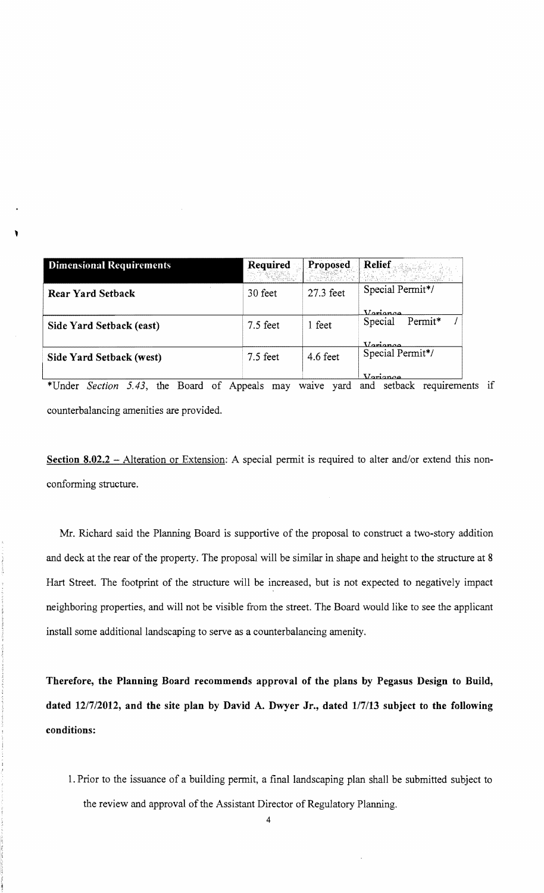| <b>Dimensional Requirements</b> | Required   | Proposed<br>Free Short | <b>Relief</b>      |
|---------------------------------|------------|------------------------|--------------------|
| <b>Rear Yard Setback</b>        | 30 feet    | 27.3 feet              | Special Permit*/   |
|                                 |            |                        | Veriance           |
| Side Yard Setback (east)        | $7.5$ feet | 1 feet                 | Permit*<br>Special |
|                                 |            |                        | V <sub>omona</sub> |
| Side Yard Setback (west)        | $7.5$ feet | $4.6$ feet             | Special Permit*/   |
|                                 |            |                        | $\sum_{i=1}^{n}$   |

 $, \, \cdot$ 

\*Under *Section* 5.43, the Board of Appeals may waive yard and setback requirements if counterbalancing amenities are provided.

Section 8.02.2 - Alteration or Extension: A special permit is required to alter and/or extend this nonconforming structure.

Mr. Richard said the Planning Board is supportive of the proposal to construct a two-story addition and deck at the rear of the property. The proposal will be similar in shape and height to the structure at 8 Hart Street. The footprint of the structure will be increased, but is not expected to negatively impact neighboring properties, and will not be visible from the street. The Board would like to see the applicant install some additional landscaping to serve as a counterbalancing amenity.

Therefore, the Planning Board recommends approval of the plans by Pegasus Design to Build, dated *12/7/2012,* and the site plan by David A. Dwyer Jr., dated *117/13* subject to the following conditions:

1. Prior to the issuance of a building permit, a final landscaping plan shall be submitted subject to the review and approval of the Assistant Director of Regulatory Planning.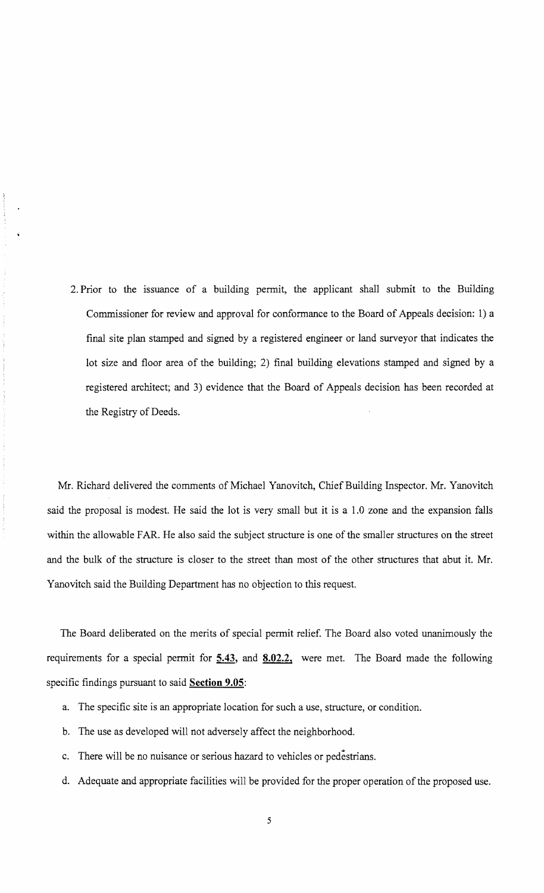2. Prior to the issuance of a building permit, the applicant shall submit to the Building Commissioner for review and approval for conformance to the Board of Appeals decision: 1) a final site plan stamped and signed by a registered engineer or land surveyor that indicates the lot size and floor area of the building; 2) final building elevations stamped and signed by a registered architect; and 3) evidence that the Board of Appeals decision has been recorded at the Registry of Deeds.

Mr. Richard delivered the comments of Michael Yanovitch, Chief Building Inspector. Mr. Yanovitch said the proposal is modest. He said the lot is very small but it is a 1.0 zone and the expansion falls within the allowable FAR. He also said the subject structure is one of the smaller structures on the street and the bulk of the structure is closer to the street than most of the other structures that abut it. Mr. Yanovitch said the Building Department has no objection to this request.

The Board deliberated on the merits of special permit relief. The Board also voted unanimously the requirements for a special permit for **5.43, and 8.02.2,** were met. The Board made the following specific findings pursuant to said **Section 9.05:** 

- a. The specific site is an appropriate location for such a use, structure, or condition.
- b. The use as developed will not adversely affect the neighborhood.
- c. There will be no nuisance or serious hazard to vehicles or pedestrians.
- d. Adequate and appropriate facilities will be provided for the proper operation of the proposed use.